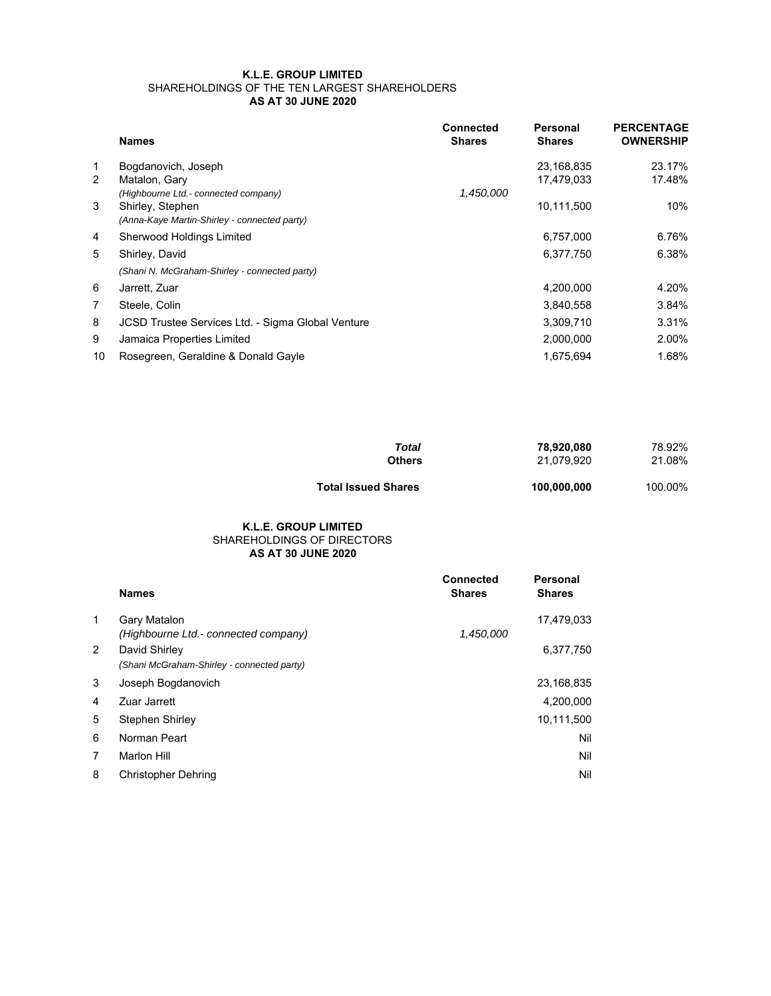## **K.L.E. GROUP LIMITED** SHAREHOLDINGS OF THE TEN LARGEST SHAREHOLDERS **AS AT 30 JUNE 2020**

|                | <b>Names</b>                                      | <b>Connected</b><br><b>Shares</b> | Personal<br><b>Shares</b> | <b>PERCENTAGE</b><br><b>OWNERSHIP</b> |
|----------------|---------------------------------------------------|-----------------------------------|---------------------------|---------------------------------------|
| 1              | Bogdanovich, Joseph                               |                                   | 23,168,835                | 23.17%                                |
| 2              | Matalon, Gary                                     |                                   | 17.479.033                | 17.48%                                |
|                | (Highbourne Ltd.- connected company)              | 1,450,000                         |                           |                                       |
| 3              | Shirley, Stephen                                  |                                   | 10,111,500                | 10%                                   |
|                | (Anna-Kaye Martin-Shirley - connected party)      |                                   |                           |                                       |
| 4              | Sherwood Holdings Limited                         |                                   | 6,757,000                 | 6.76%                                 |
| 5              | Shirley, David                                    |                                   | 6,377,750                 | 6.38%                                 |
|                | (Shani N. McGraham-Shirley - connected party)     |                                   |                           |                                       |
| 6              | Jarrett, Zuar                                     |                                   | 4,200,000                 | 4.20%                                 |
| $\overline{7}$ | Steele, Colin                                     |                                   | 3,840,558                 | 3.84%                                 |
| 8              | JCSD Trustee Services Ltd. - Sigma Global Venture |                                   | 3,309,710                 | 3.31%                                 |
| 9              | Jamaica Properties Limited                        |                                   | 2,000,000                 | 2.00%                                 |
| 10             | Rosegreen, Geraldine & Donald Gayle               |                                   | 1.675.694                 | 1.68%                                 |

| Total                      | 78,920,080  | 78.92%  |
|----------------------------|-------------|---------|
| <b>Others</b>              | 21.079.920  | 21.08%  |
| <b>Total Issued Shares</b> | 100,000,000 | 100.00% |

## **AS AT 30 JUNE 2020 K.L.E. GROUP LIMITED** SHAREHOLDINGS OF DIRECTORS

|              | <b>Names</b>                                                | <b>Connected</b><br><b>Shares</b> | Personal<br><b>Shares</b> |
|--------------|-------------------------------------------------------------|-----------------------------------|---------------------------|
| $\mathbf{1}$ | <b>Gary Matalon</b><br>(Highbourne Ltd.- connected company) | 1,450,000                         | 17,479,033                |
| 2            | David Shirley<br>(Shani McGraham-Shirley - connected party) |                                   | 6,377,750                 |
| 3            | Joseph Bogdanovich                                          |                                   | 23,168,835                |
| 4            | Zuar Jarrett                                                |                                   | 4,200,000                 |
| 5            | Stephen Shirley                                             |                                   | 10,111,500                |
| 6            | Norman Peart                                                |                                   | Nil                       |
| 7            | <b>Marlon Hill</b>                                          |                                   | Nil                       |
| 8            | <b>Christopher Dehring</b>                                  |                                   | Nil                       |